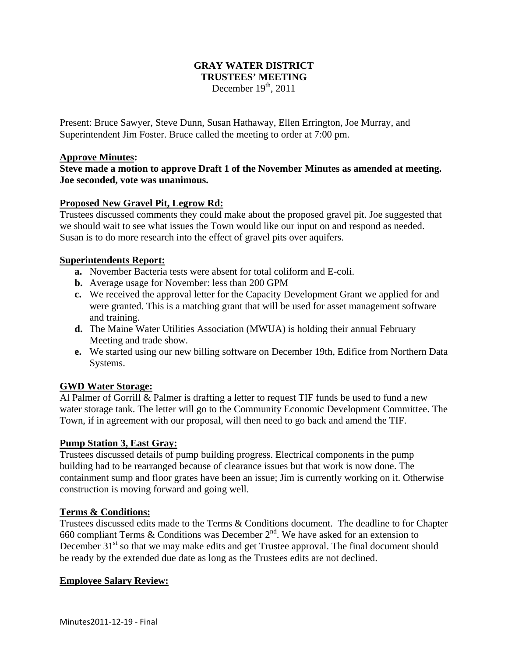## **GRAY WATER DISTRICT TRUSTEES' MEETING**  December  $19<sup>th</sup>$ , 2011

Present: Bruce Sawyer, Steve Dunn, Susan Hathaway, Ellen Errington, Joe Murray, and Superintendent Jim Foster. Bruce called the meeting to order at 7:00 pm.

### **Approve Minutes:**

**Steve made a motion to approve Draft 1 of the November Minutes as amended at meeting. Joe seconded, vote was unanimous.** 

## **Proposed New Gravel Pit, Legrow Rd:**

Trustees discussed comments they could make about the proposed gravel pit. Joe suggested that we should wait to see what issues the Town would like our input on and respond as needed. Susan is to do more research into the effect of gravel pits over aquifers.

#### **Superintendents Report:**

- **a.** November Bacteria tests were absent for total coliform and E-coli.
- **b.** Average usage for November: less than 200 GPM
- **c.** We received the approval letter for the Capacity Development Grant we applied for and were granted. This is a matching grant that will be used for asset management software and training.
- **d.** The Maine Water Utilities Association (MWUA) is holding their annual February Meeting and trade show.
- **e.** We started using our new billing software on December 19th, Edifice from Northern Data Systems.

## **GWD Water Storage:**

Al Palmer of Gorrill & Palmer is drafting a letter to request TIF funds be used to fund a new water storage tank. The letter will go to the Community Economic Development Committee. The Town, if in agreement with our proposal, will then need to go back and amend the TIF.

#### **Pump Station 3, East Gray:**

Trustees discussed details of pump building progress. Electrical components in the pump building had to be rearranged because of clearance issues but that work is now done. The containment sump and floor grates have been an issue; Jim is currently working on it. Otherwise construction is moving forward and going well.

#### **Terms & Conditions:**

Trustees discussed edits made to the Terms & Conditions document. The deadline to for Chapter 660 compliant Terms & Conditions was December  $2<sup>nd</sup>$ . We have asked for an extension to December  $31<sup>st</sup>$  so that we may make edits and get Trustee approval. The final document should be ready by the extended due date as long as the Trustees edits are not declined.

#### **Employee Salary Review:**